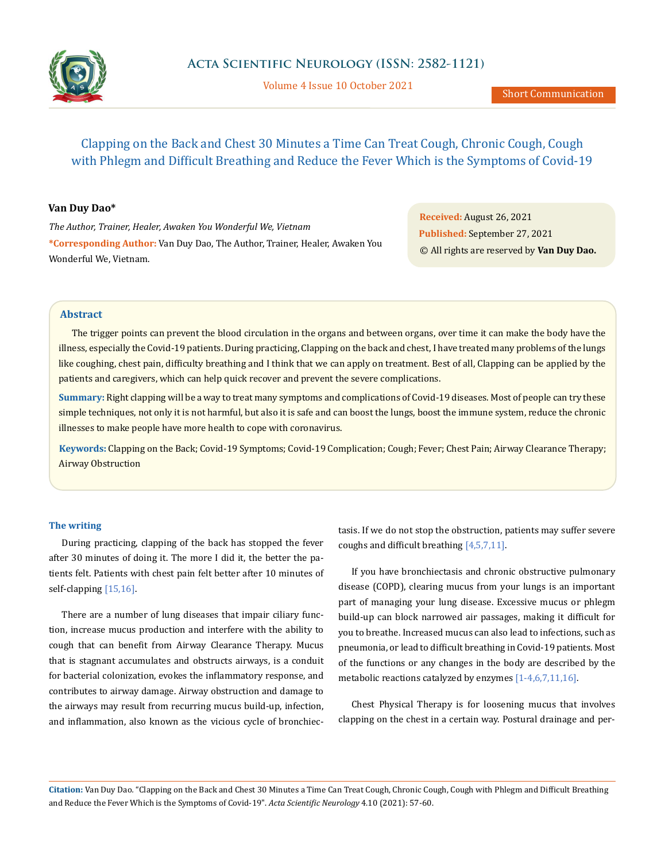

Volume 4 Issue 10 October 2021

# Clapping on the Back and Chest 30 Minutes a Time Can Treat Cough, Chronic Cough, Cough with Phlegm and Difficult Breathing and Reduce the Fever Which is the Symptoms of Covid-19

## **Van Duy Dao\***

*The Author, Trainer, Healer, Awaken You Wonderful We, Vietnam* **\*Corresponding Author:** Van Duy Dao, The Author, Trainer, Healer, Awaken You Wonderful We, Vietnam.

**Received:** August 26, 2021 **Published:** September 27, 2021 © All rights are reserved by **Van Duy Dao.**

# **Abstract**

The trigger points can prevent the blood circulation in the organs and between organs, over time it can make the body have the illness, especially the Covid-19 patients. During practicing, Clapping on the back and chest, I have treated many problems of the lungs like coughing, chest pain, difficulty breathing and I think that we can apply on treatment. Best of all, Clapping can be applied by the patients and caregivers, which can help quick recover and prevent the severe complications.

**Summary:** Right clapping will be a way to treat many symptoms and complications of Covid-19 diseases. Most of people can try these simple techniques, not only it is not harmful, but also it is safe and can boost the lungs, boost the immune system, reduce the chronic illnesses to make people have more health to cope with coronavirus.

**Keywords:** Clapping on the Back; Covid-19 Symptoms; Covid-19 Complication; Cough; Fever; Chest Pain; Airway Clearance Therapy; Airway Obstruction

#### **The writing**

During practicing, clapping of the back has stopped the fever after 30 minutes of doing it. The more I did it, the better the patients felt. Patients with chest pain felt better after 10 minutes of self-clapping [15,16].

There are a number of lung diseases that impair ciliary function, increase mucus production and interfere with the ability to cough that can benefit from Airway Clearance Therapy. Mucus that is stagnant accumulates and obstructs airways, is a conduit for bacterial colonization, evokes the inflammatory response, and contributes to airway damage. Airway obstruction and damage to the airways may result from recurring mucus build-up, infection, and inflammation, also known as the vicious cycle of bronchiectasis. If we do not stop the obstruction, patients may suffer severe coughs and difficult breathing [4,5,7,11].

If you have bronchiectasis and chronic obstructive pulmonary disease (COPD), clearing mucus from your lungs is an important part of managing your lung disease. Excessive mucus or phlegm build-up can block narrowed air passages, making it difficult for you to breathe. Increased mucus can also lead to infections, such as pneumonia, or lead to difficult breathing in Covid-19 patients. Most of the functions or any changes in the body are described by the metabolic reactions catalyzed by enzymes [1-4,6,7,11,16].

Chest Physical Therapy is for loosening mucus that involves clapping on the chest in a certain way. Postural drainage and per-

**Citation:** Van Duy Dao*.* "Clapping on the Back and Chest 30 Minutes a Time Can Treat Cough, Chronic Cough, Cough with Phlegm and Difficult Breathing and Reduce the Fever Which is the Symptoms of Covid-19". *Acta Scientific Neurology* 4.10 (2021): 57-60.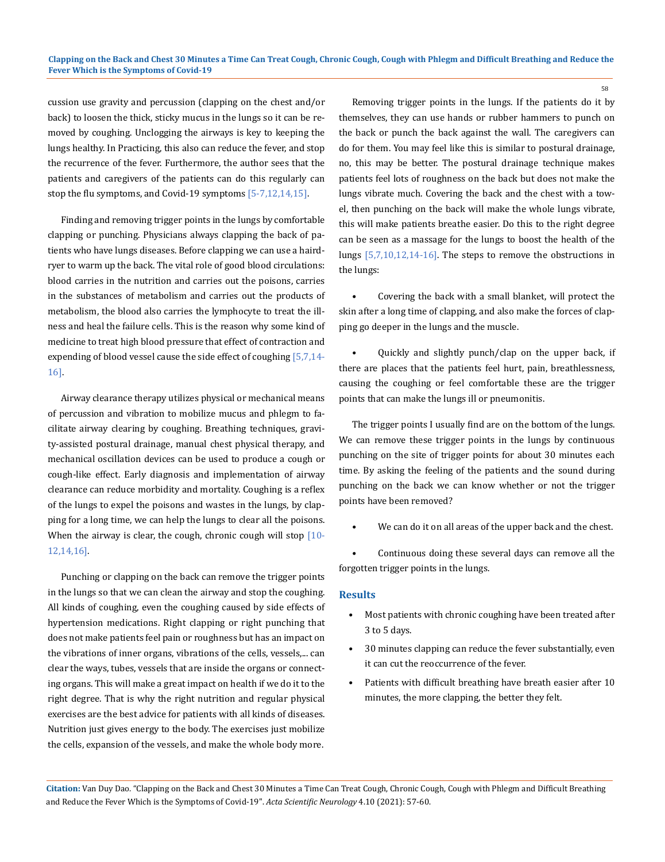cussion use gravity and percussion (clapping on the chest and/or back) to loosen the thick, sticky mucus in the lungs so it can be removed by coughing. Unclogging the airways is key to keeping the lungs healthy. In Practicing, this also can reduce the fever, and stop the recurrence of the fever. Furthermore, the author sees that the patients and caregivers of the patients can do this regularly can stop the flu symptoms, and Covid-19 symptoms [5-7,12,14,15].

Finding and removing trigger points in the lungs by comfortable clapping or punching. Physicians always clapping the back of patients who have lungs diseases. Before clapping we can use a hairdryer to warm up the back. The vital role of good blood circulations: blood carries in the nutrition and carries out the poisons, carries in the substances of metabolism and carries out the products of metabolism, the blood also carries the lymphocyte to treat the illness and heal the failure cells. This is the reason why some kind of medicine to treat high blood pressure that effect of contraction and expending of blood vessel cause the side effect of coughing [5,7,14- 16].

Airway clearance therapy utilizes physical or mechanical means of percussion and vibration to mobilize mucus and phlegm to facilitate airway clearing by coughing. Breathing techniques, gravity-assisted postural drainage, manual chest physical therapy, and mechanical oscillation devices can be used to produce a cough or cough-like effect. Early diagnosis and implementation of airway clearance can reduce morbidity and mortality. Coughing is a reflex of the lungs to expel the poisons and wastes in the lungs, by clapping for a long time, we can help the lungs to clear all the poisons. When the airway is clear, the cough, chronic cough will stop [10-12,14,16].

Punching or clapping on the back can remove the trigger points in the lungs so that we can clean the airway and stop the coughing. All kinds of coughing, even the coughing caused by side effects of hypertension medications. Right clapping or right punching that does not make patients feel pain or roughness but has an impact on the vibrations of inner organs, vibrations of the cells, vessels,... can clear the ways, tubes, vessels that are inside the organs or connecting organs. This will make a great impact on health if we do it to the right degree. That is why the right nutrition and regular physical exercises are the best advice for patients with all kinds of diseases. Nutrition just gives energy to the body. The exercises just mobilize the cells, expansion of the vessels, and make the whole body more.

Removing trigger points in the lungs. If the patients do it by themselves, they can use hands or rubber hammers to punch on the back or punch the back against the wall. The caregivers can do for them. You may feel like this is similar to postural drainage, no, this may be better. The postural drainage technique makes patients feel lots of roughness on the back but does not make the lungs vibrate much. Covering the back and the chest with a towel, then punching on the back will make the whole lungs vibrate, this will make patients breathe easier. Do this to the right degree can be seen as a massage for the lungs to boost the health of the lungs [5,7,10,12,14-16]. The steps to remove the obstructions in the lungs:

• Covering the back with a small blanket, will protect the skin after a long time of clapping, and also make the forces of clapping go deeper in the lungs and the muscle.

• Quickly and slightly punch/clap on the upper back, if there are places that the patients feel hurt, pain, breathlessness, causing the coughing or feel comfortable these are the trigger points that can make the lungs ill or pneumonitis.

The trigger points I usually find are on the bottom of the lungs. We can remove these trigger points in the lungs by continuous punching on the site of trigger points for about 30 minutes each time. By asking the feeling of the patients and the sound during punching on the back we can know whether or not the trigger points have been removed?

We can do it on all areas of the upper back and the chest.

• Continuous doing these several days can remove all the forgotten trigger points in the lungs.

#### **Results**

- Most patients with chronic coughing have been treated after 3 to 5 days.
- 30 minutes clapping can reduce the fever substantially, even it can cut the reoccurrence of the fever.
- Patients with difficult breathing have breath easier after 10 minutes, the more clapping, the better they felt.

**Citation:** Van Duy Dao*.* "Clapping on the Back and Chest 30 Minutes a Time Can Treat Cough, Chronic Cough, Cough with Phlegm and Difficult Breathing and Reduce the Fever Which is the Symptoms of Covid-19". *Acta Scientific Neurology* 4.10 (2021): 57-60.

58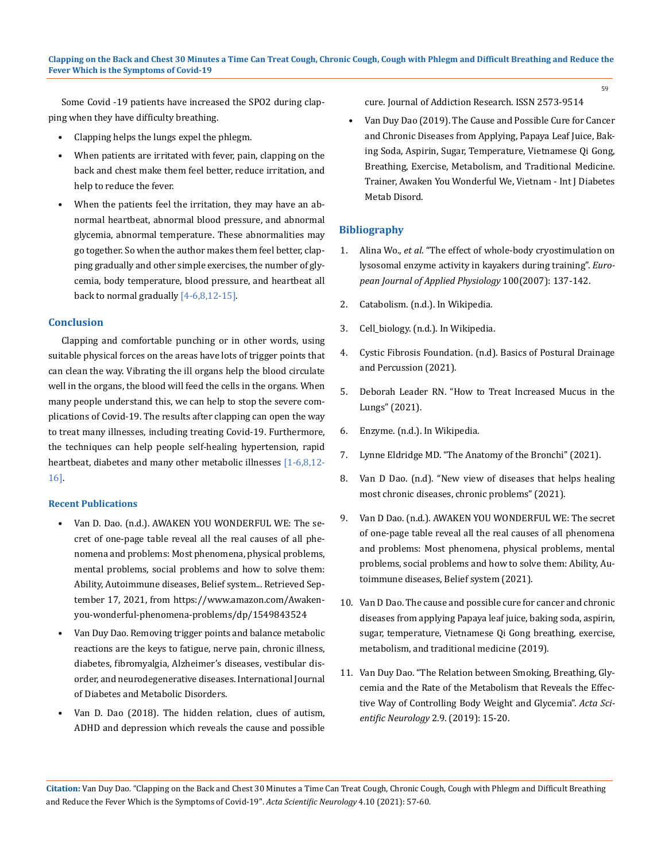Some Covid -19 patients have increased the SPO2 during clapping when they have difficulty breathing.

- Clapping helps the lungs expel the phlegm.
- When patients are irritated with fever, pain, clapping on the back and chest make them feel better, reduce irritation, and help to reduce the fever.
- When the patients feel the irritation, they may have an abnormal heartbeat, abnormal blood pressure, and abnormal glycemia, abnormal temperature. These abnormalities may go together. So when the author makes them feel better, clapping gradually and other simple exercises, the number of glycemia, body temperature, blood pressure, and heartbeat all back to normal gradually [4-6,8,12-15].

# **Conclusion**

Clapping and comfortable punching or in other words, using suitable physical forces on the areas have lots of trigger points that can clean the way. Vibrating the ill organs help the blood circulate well in the organs, the blood will feed the cells in the organs. When many people understand this, we can help to stop the severe complications of Covid-19. The results after clapping can open the way to treat many illnesses, including treating Covid-19. Furthermore, the techniques can help people self-healing hypertension, rapid heartbeat, diabetes and many other metabolic illnesses [1-6,8,12-16].

## **Recent Publications**

- Van D. Dao. (n.d.). AWAKEN YOU WONDERFUL WE: The secret of one-page table reveal all the real causes of all phenomena and problems: Most phenomena, physical problems, mental problems, social problems and how to solve them: Ability, Autoimmune diseases, Belief system... Retrieved September 17, 2021, from https://www.amazon.com/Awakenyou-wonderful-phenomena-problems/dp/1549843524
- Van Duy Dao. Removing trigger points and balance metabolic reactions are the keys to fatigue, nerve pain, chronic illness, diabetes, fibromyalgia, Alzheimer's diseases, vestibular disorder, and neurodegenerative diseases. International Journal of Diabetes and Metabolic Disorders.
- Van D. Dao (2018). The hidden relation, clues of autism, ADHD and depression which reveals the cause and possible

cure. Journal of Addiction Research. ISSN 2573-9514

59

• Van Duy Dao (2019). The Cause and Possible Cure for Cancer and Chronic Diseases from Applying, Papaya Leaf Juice, Baking Soda, Aspirin, Sugar, Temperature, Vietnamese Qi Gong, Breathing, Exercise, Metabolism, and Traditional Medicine. Trainer, Awaken You Wonderful We, Vietnam - Int J Diabetes Metab Disord.

## **Bibliography**

- 1. Alina Wo., *et al*[. "The effect of whole-body cryostimulation on](https://link.springer.com/article/10.1007/s00421-007-0404-0)  [lysosomal enzyme activity in kayakers during training".](https://link.springer.com/article/10.1007/s00421-007-0404-0) *Euro[pean Journal of Applied Physiology](https://link.springer.com/article/10.1007/s00421-007-0404-0)* 100(2007): 137-142.
- 2. [Catabolism. \(n.d.\). In Wikipedia.](https://en.wikipedia.org/wiki/Catabolism)
- 3. [Cell\\_biology. \(n.d.\). In Wikipedia.](https://en.wikipedia.org/wiki/Cell_biology)
- 4. [Cystic Fibrosis Foundation. \(n.d\). Basics of Postural Drainage](https://www.cff.org/Life-With-CF/Treatments-and-Therapies/Airway-Clearance/Basics-of-Postural-Drainage-and-Percussion/)  [and Percussion \(2021\).](https://www.cff.org/Life-With-CF/Treatments-and-Therapies/Airway-Clearance/Basics-of-Postural-Drainage-and-Percussion/)
- 5. [Deborah Leader RN. "How to Treat Increased Mucus in the](https://www.verywellhealth.com/five-techniques-to-clear-mucus-from-the-lungs-914841)  [Lungs" \(2021\).](https://www.verywellhealth.com/five-techniques-to-clear-mucus-from-the-lungs-914841)
- 6. [Enzyme. \(n.d.\). In Wikipedia.](https://en.wikipedia.org/wiki/Enzyme)
- 7. [Lynne Eldridge MD. "The Anatomy of the Bronchi" \(2021\).](https://www.verywellhealth.com/what-is-the-bronchus-structure-function-and-conditions-2249066)
- 8. [Van D Dao. \(n.d\). "New view of diseases that helps healing](http://www.awakenyouwonderfulwe.com/2018/01/new-view-of-diseases-that-helps-healing.html)  [most chronic diseases, chronic problems" \(2021\).](http://www.awakenyouwonderfulwe.com/2018/01/new-view-of-diseases-that-helps-healing.html)
- 9. [Van D Dao. \(n.d.\). AWAKEN YOU WONDERFUL WE: The secret](https://www.amazon.com/Awaken-you-wonderful-phenomena-problems/dp/1549843524)  [of one-page table reveal all the real causes of all phenomena](https://www.amazon.com/Awaken-you-wonderful-phenomena-problems/dp/1549843524)  [and problems: Most phenomena, physical problems, mental](https://www.amazon.com/Awaken-you-wonderful-phenomena-problems/dp/1549843524)  [problems, social problems and how to solve them: Ability, Au](https://www.amazon.com/Awaken-you-wonderful-phenomena-problems/dp/1549843524)[toimmune diseases, Belief system \(2021\).](https://www.amazon.com/Awaken-you-wonderful-phenomena-problems/dp/1549843524)
- 10. Van D Dao. The cause and possible cure for cancer and chronic diseases from applying Papaya leaf juice, baking soda, aspirin, sugar, temperature, Vietnamese Qi Gong breathing, exercise, metabolism, and traditional medicine (2019).
- 11. [Van Duy Dao. "The Relation between Smoking, Breathing, Gly](https://www.actascientific.com/ASNE/pdf/ASNE-02-0094.pdf)[cemia and the Rate of the Metabolism that Reveals the Effec](https://www.actascientific.com/ASNE/pdf/ASNE-02-0094.pdf)[tive Way of Controlling Body Weight and Glycemia".](https://www.actascientific.com/ASNE/pdf/ASNE-02-0094.pdf) *Acta Scientific Neurology* [2.9. \(2019\): 15-20.](https://www.actascientific.com/ASNE/pdf/ASNE-02-0094.pdf)

**Citation:** Van Duy Dao*.* "Clapping on the Back and Chest 30 Minutes a Time Can Treat Cough, Chronic Cough, Cough with Phlegm and Difficult Breathing and Reduce the Fever Which is the Symptoms of Covid-19". *Acta Scientific Neurology* 4.10 (2021): 57-60.